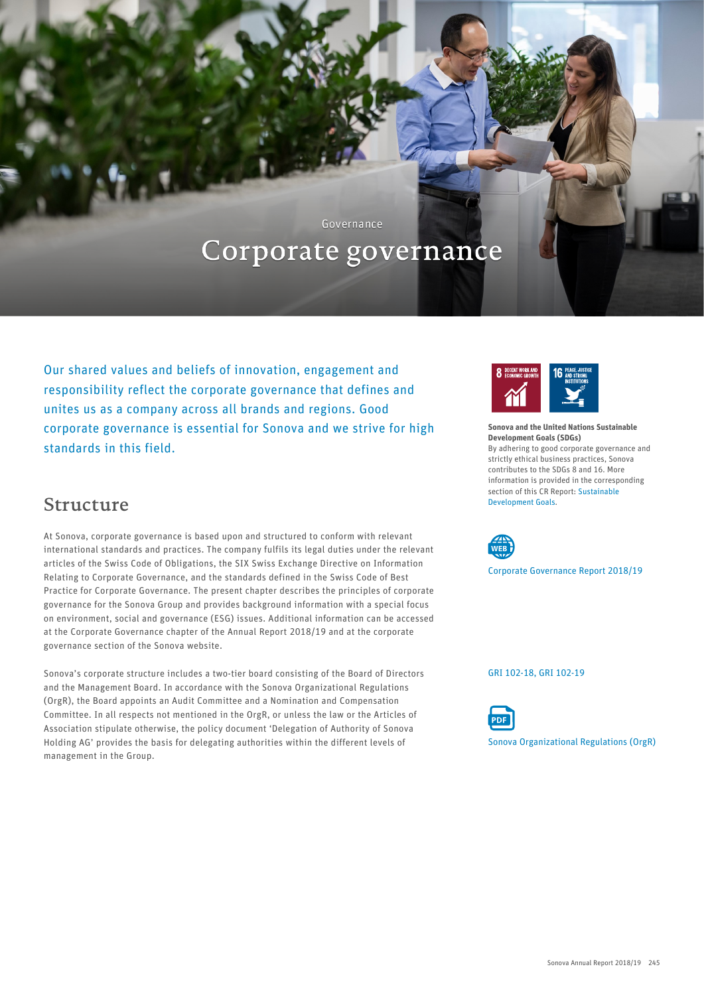Governance

# Corporate governance

Our shared values and beliefs of innovation, engagement and responsibility reflect the corporate governance that defines and unites us as a company across all brands and regions. Good corporate governance is essential for Sonova and we strive for high standards in this field.

### Structure

At Sonova, corporate governance is based upon and structured to conform with relevant international standards and practices. The company fulfils its legal duties under the relevant articles of the Swiss Code of Obligations, the SIX Swiss Exchange Directive on Information Relating to Corporate Governance, and the standards defined in the Swiss Code of Best Practice for Corporate Governance. The present chapter describes the principles of corporate governance for the Sonova Group and provides background information with a special focus on environment, social and governance (ESG) issues. Additional information can be accessed at the Corporate Governance chapter of the Annual Report 2018/19 and at the corporate governance section of the Sonova website.

Sonova's corporate structure includes a two-tier board consisting of the Board of Directors and the Management Board. In accordance with the Sonova Organizational Regulations (OrgR), the Board appoints an Audit Committee and a Nomination and Compensation Committee. In all respects not mentioned in the OrgR, or unless the law or the Articles of Association stipulate otherwise, the policy document 'Delegation of Authority of Sonova Holding AG' provides the basis for delegating authorities within the different levels of management in the Group.



Sonova and the United Nations Sustainable Development Goals (SDGs) By adhering to good corporate governance and strictly ethical business practices, Sonova contributes to the SDGs 8 and 16. More information is provided in the corresponding section of this CR Report: [Sustainable](#page--1-0) [Development Goals.](#page--1-0)



[Corporate Governance Report 2018/19](https://report.sonova.com/2019/en/corporate-governance/)

[GRI 102-18, GRI 102-19](#page--1-0)



[Sonova Organizational Regulations \(OrgR\)](https://report.sonova.com/2019/app/uploads/2018-Sonova-Organizational-Regulations.pdf)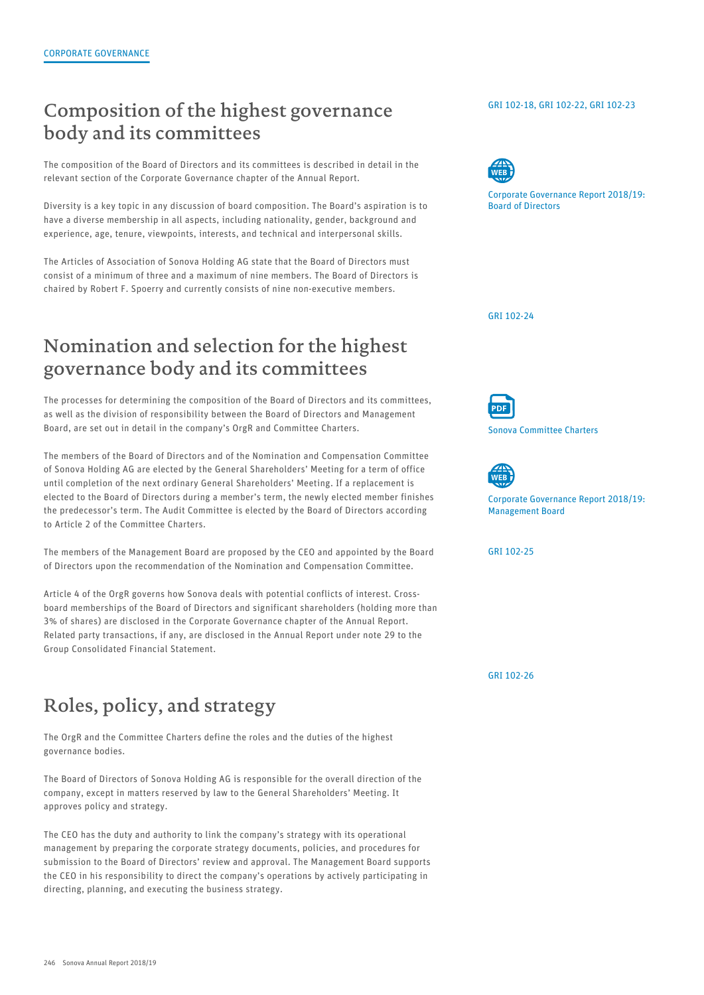### Composition of the highest governance body and its committees

The composition of the Board of Directors and its committees is described in detail in the relevant section of the Corporate Governance chapter of the Annual Report.

Diversity is a key topic in any discussion of board composition. The Board's aspiration is to have a diverse membership in all aspects, including nationality, gender, background and experience, age, tenure, viewpoints, interests, and technical and interpersonal skills.

The Articles of Association of Sonova Holding AG state that the Board of Directors must consist of a minimum of three and a maximum of nine members. The Board of Directors is chaired by Robert F. Spoerry and currently consists of nine non-executive members.

# Nomination and selection for the highest governance body and its committees

The processes for determining the composition of the Board of Directors and its committees, as well as the division of responsibility between the Board of Directors and Management Board, are set out in detail in the company's OrgR and Committee Charters.

The members of the Board of Directors and of the Nomination and Compensation Committee of Sonova Holding AG are elected by the General Shareholders' Meeting for a term of office until completion of the next ordinary General Shareholders' Meeting. If a replacement is elected to the Board of Directors during a member's term, the newly elected member finishes the predecessor's term. The Audit Committee is elected by the Board of Directors according to Article 2 of the Committee Charters.

The members of the Management Board are proposed by the CEO and appointed by the Board of Directors upon the recommendation of the Nomination and Compensation Committee.

Article 4 of the OrgR governs how Sonova deals with potential conflicts of interest. Crossboard memberships of the Board of Directors and significant shareholders (holding more than 3% of shares) are disclosed in the Corporate Governance chapter of the Annual Report. Related party transactions, if any, are disclosed in the Annual Report under note 29 to the Group Consolidated Financial Statement.

# Roles, policy, and strategy

The OrgR and the Committee Charters define the roles and the duties of the highest governance bodies.

The Board of Directors of Sonova Holding AG is responsible for the overall direction of the company, except in matters reserved by law to the General Shareholders' Meeting. It approves policy and strategy.

The CEO has the duty and authority to link the company's strategy with its operational management by preparing the corporate strategy documents, policies, and procedures for submission to the Board of Directors' review and approval. The Management Board supports the CEO in his responsibility to direct the company's operations by actively participating in directing, planning, and executing the business strategy.

#### [GRI 102-18, GRI 102-22, GRI 102-23](#page--1-0)



[Corporate Governance Report 2018/19:](https://report.sonova.com/2019/en/board-of-directors/) Board of Directors

[GRI 102-24](#page--1-0)



[Sonova Committee Charters](https://report.sonova.com/2019/app/uploads/Sonova-Committee-Charters.pdf)



[Corporate Governance Report 2018/19:](https://report.sonova.com/2019/en/management-board/) Management Board

[GRI 102-25](#page--1-0)

[GRI 102-26](#page--1-0)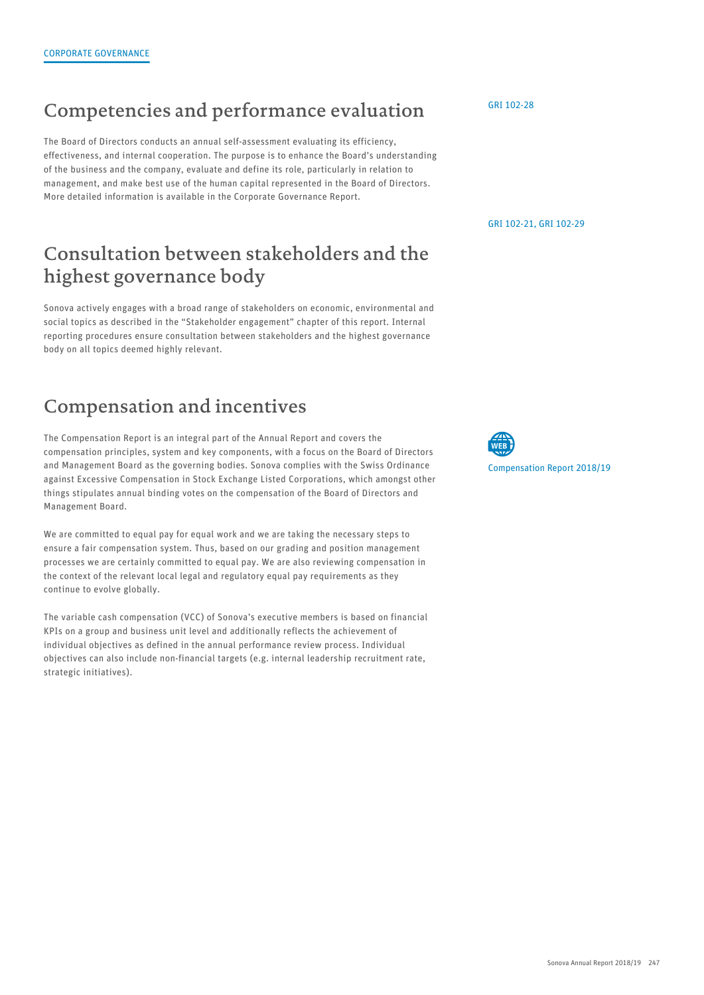## Competencies and performance evaluation

The Board of Directors conducts an annual self-assessment evaluating its efficiency, effectiveness, and internal cooperation. The purpose is to enhance the Board's understanding of the business and the company, evaluate and define its role, particularly in relation to management, and make best use of the human capital represented in the Board of Directors. More detailed information is available in the Corporate Governance Report.

### Consultation between stakeholders and the highest governance body

Sonova actively engages with a broad range of stakeholders on economic, environmental and social topics as described in the "Stakeholder engagement" chapter of this report. Internal reporting procedures ensure consultation between stakeholders and the highest governance body on all topics deemed highly relevant.

# Compensation and incentives

The Compensation Report is an integral part of the Annual Report and covers the compensation principles, system and key components, with a focus on the Board of Directors and Management Board as the governing bodies. Sonova complies with the Swiss Ordinance against Excessive Compensation in Stock Exchange Listed Corporations, which amongst other things stipulates annual binding votes on the compensation of the Board of Directors and Management Board.

We are committed to equal pay for equal work and we are taking the necessary steps to ensure a fair compensation system. Thus, based on our grading and position management processes we are certainly committed to equal pay. We are also reviewing compensation in the context of the relevant local legal and regulatory equal pay requirements as they continue to evolve globally.

The variable cash compensation (VCC) of Sonova's executive members is based on financial KPIs on a group and business unit level and additionally reflects the achievement of individual objectives as defined in the annual performance review process. Individual objectives can also include non-financial targets (e.g. internal leadership recruitment rate, strategic initiatives).

[GRI 102-28](#page--1-0)

[GRI 102-21, GRI 102-29](#page--1-0)

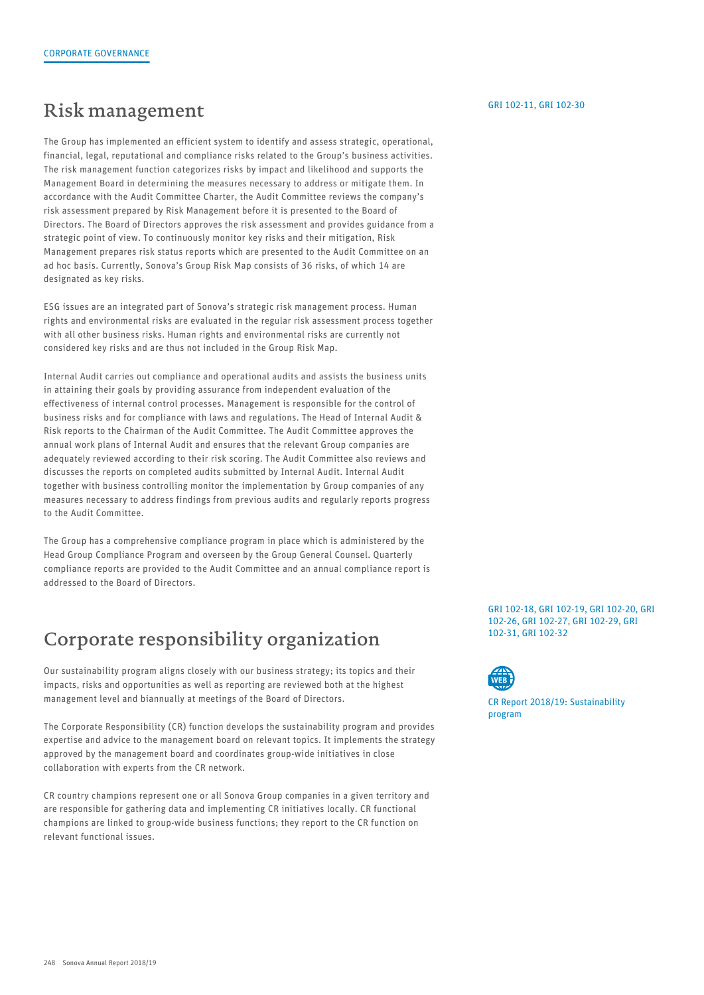### Risk management

The Group has implemented an efficient system to identify and assess strategic, operational, financial, legal, reputational and compliance risks related to the Group's business activities. The risk management function categorizes risks by impact and likelihood and supports the Management Board in determining the measures necessary to address or mitigate them. In accordance with the Audit Committee Charter, the Audit Committee reviews the company's risk assessment prepared by Risk Management before it is presented to the Board of Directors. The Board of Directors approves the risk assessment and provides guidance from a strategic point of view. To continuously monitor key risks and their mitigation, Risk Management prepares risk status reports which are presented to the Audit Committee on an ad hoc basis. Currently, Sonova's Group Risk Map consists of 36 risks, of which 14 are designated as key risks.

ESG issues are an integrated part of Sonova's strategic risk management process. Human rights and environmental risks are evaluated in the regular risk assessment process together with all other business risks. Human rights and environmental risks are currently not considered key risks and are thus not included in the Group Risk Map.

Internal Audit carries out compliance and operational audits and assists the business units in attaining their goals by providing assurance from independent evaluation of the effectiveness of internal control processes. Management is responsible for the control of business risks and for compliance with laws and regulations. The Head of Internal Audit & Risk reports to the Chairman of the Audit Committee. The Audit Committee approves the annual work plans of Internal Audit and ensures that the relevant Group companies are adequately reviewed according to their risk scoring. The Audit Committee also reviews and discusses the reports on completed audits submitted by Internal Audit. Internal Audit together with business controlling monitor the implementation by Group companies of any measures necessary to address findings from previous audits and regularly reports progress to the Audit Committee.

The Group has a comprehensive compliance program in place which is administered by the Head Group Compliance Program and overseen by the Group General Counsel. Quarterly compliance reports are provided to the Audit Committee and an annual compliance report is addressed to the Board of Directors.

### Corporate responsibility organization

Our sustainability program aligns closely with our business strategy; its topics and their impacts, risks and opportunities as well as reporting are reviewed both at the highest management level and biannually at meetings of the Board of Directors.

The Corporate Responsibility (CR) function develops the sustainability program and provides expertise and advice to the management board on relevant topics. It implements the strategy approved by the management board and coordinates group-wide initiatives in close collaboration with experts from the CR network.

CR country champions represent one or all Sonova Group companies in a given territory and are responsible for gathering data and implementing CR initiatives locally. CR functional champions are linked to group-wide business functions; they report to the CR function on relevant functional issues.

#### [GRI 102-11, GRI 102-30](#page--1-0)

[GRI 102-18, GRI 102-19, GRI 102-20, GRI](#page--1-0) 102-26, GRI 102-27, GRI 102-29, GRI 102-31, GRI 102-32



[CR Report 2018/19: Sustainability](#page--1-0) program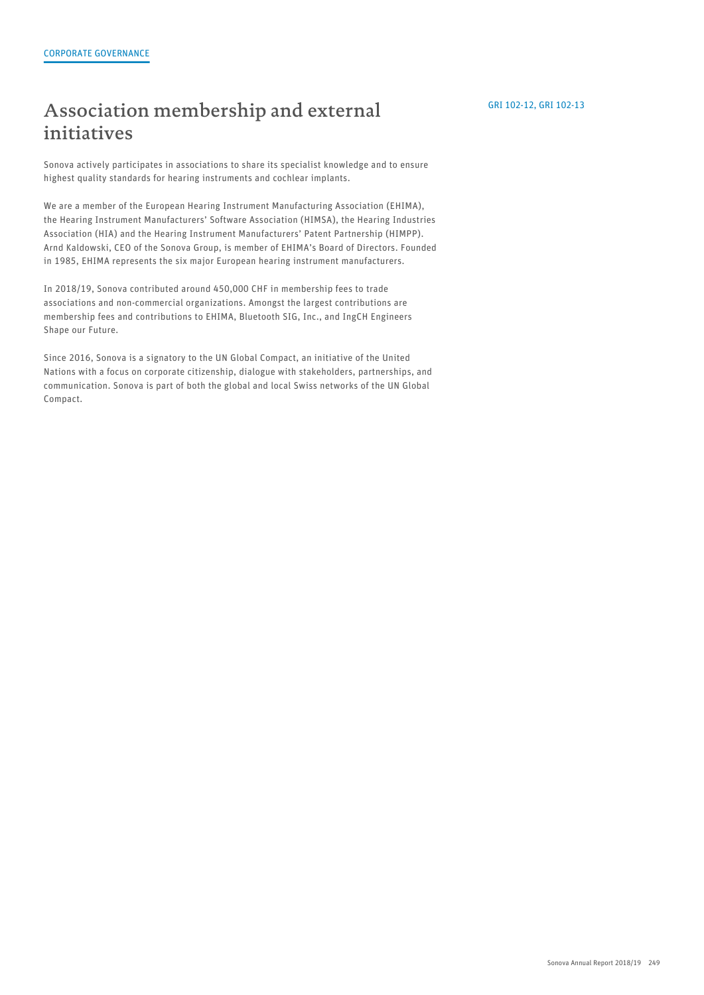### Association membership and external initiatives

Sonova actively participates in associations to share its specialist knowledge and to ensure highest quality standards for hearing instruments and cochlear implants.

We are a member of the European Hearing Instrument Manufacturing Association (EHIMA), the Hearing Instrument Manufacturers' Software Association (HIMSA), the Hearing Industries Association (HIA) and the Hearing Instrument Manufacturers' Patent Partnership (HIMPP). Arnd Kaldowski, CEO of the Sonova Group, is member of EHIMA's Board of Directors. Founded in 1985, EHIMA represents the six major European hearing instrument manufacturers.

In 2018/19, Sonova contributed around 450,000 CHF in membership fees to trade associations and non-commercial organizations. Amongst the largest contributions are membership fees and contributions to EHIMA, Bluetooth SIG, Inc., and IngCH Engineers Shape our Future.

Since 2016, Sonova is a signatory to the UN Global Compact, an initiative of the United Nations with a focus on corporate citizenship, dialogue with stakeholders, partnerships, and communication. Sonova is part of both the global and local Swiss networks of the UN Global Compact.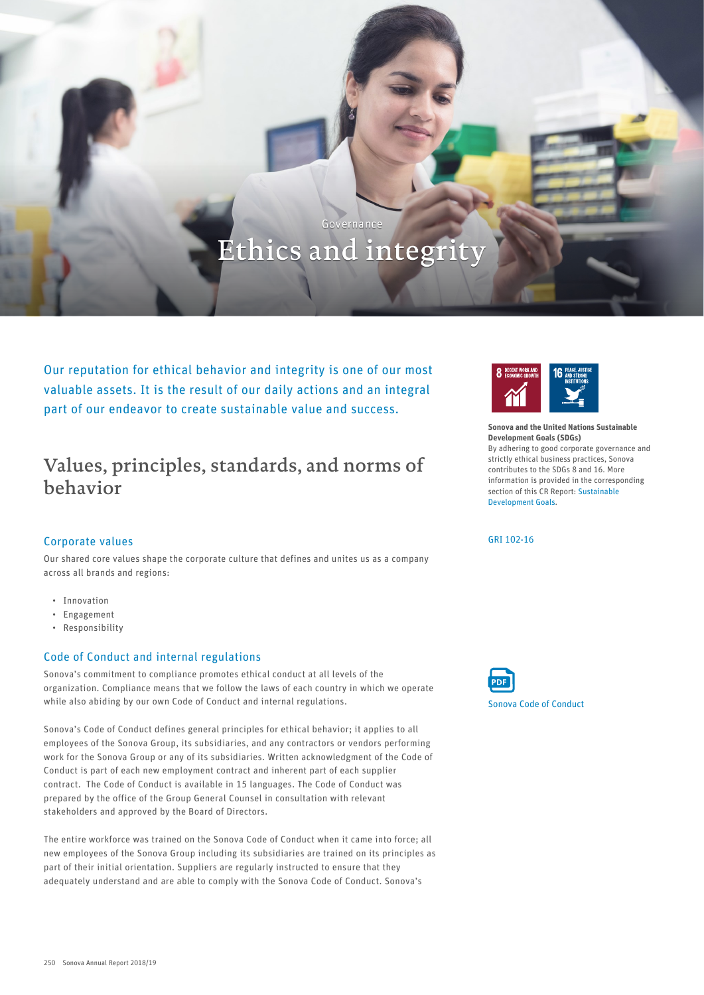# Ethics and integrity

Governance

Our reputation for ethical behavior and integrity is one of our most valuable assets. It is the result of our daily actions and an integral part of our endeavor to create sustainable value and success.

### Values, principles, standards, and norms of behavior

### Corporate values

Our shared core values shape the corporate culture that defines and unites us as a company across all brands and regions:

- Innovation
- Engagement
- Responsibility

### Code of Conduct and internal regulations

Sonova's commitment to compliance promotes ethical conduct at all levels of the organization. Compliance means that we follow the laws of each country in which we operate while also abiding by our own Code of Conduct and internal regulations.

Sonova's Code of Conduct defines general principles for ethical behavior; it applies to all employees of the Sonova Group, its subsidiaries, and any contractors or vendors performing work for the Sonova Group or any of its subsidiaries. Written acknowledgment of the Code of Conduct is part of each new employment contract and inherent part of each supplier contract. The Code of Conduct is available in 15 languages. The Code of Conduct was prepared by the office of the Group General Counsel in consultation with relevant stakeholders and approved by the Board of Directors.

The entire workforce was trained on the Sonova Code of Conduct when it came into force; all new employees of the Sonova Group including its subsidiaries are trained on its principles as part of their initial orientation. Suppliers are regularly instructed to ensure that they adequately understand and are able to comply with the Sonova Code of Conduct. Sonova's



Sonova and the United Nations Sustainable Development Goals (SDGs) By adhering to good corporate governance and strictly ethical business practices, Sonova contributes to the SDGs 8 and 16. More information is provided in the corresponding section of this CR Report: [Sustainable](#page--1-0) [Development Goals.](#page--1-0)

[GRI 102-16](#page--1-0)

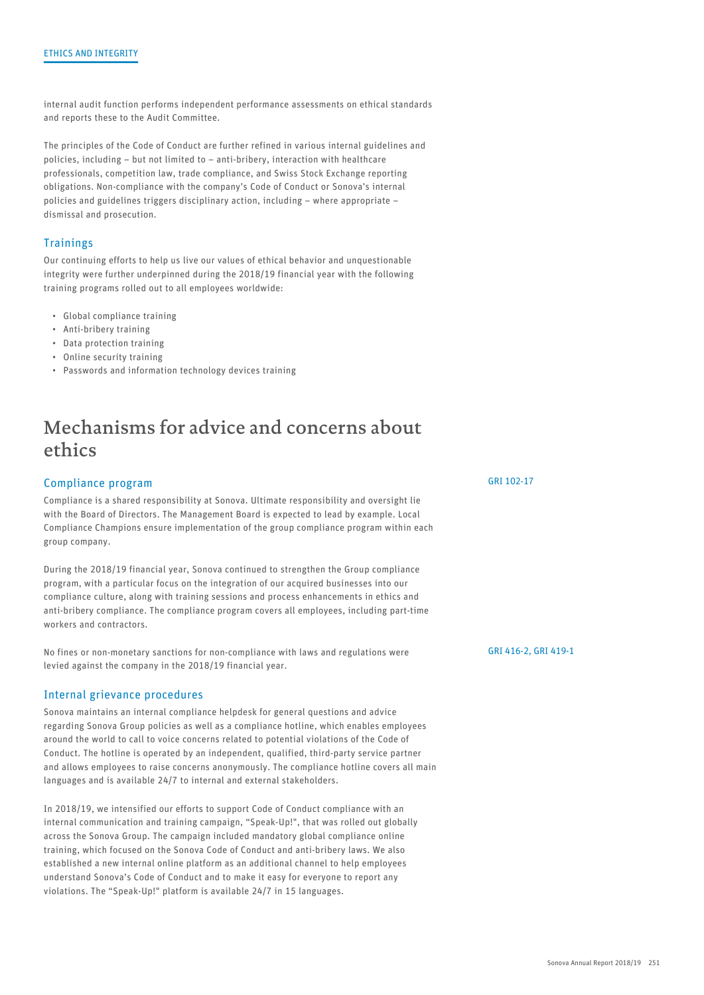internal audit function performs independent performance assessments on ethical standards and reports these to the Audit Committee.

The principles of the Code of Conduct are further refined in various internal guidelines and policies, including – but not limited to – anti-bribery, interaction with healthcare professionals, competition law, trade compliance, and Swiss Stock Exchange reporting obligations. Non-compliance with the company's Code of Conduct or Sonova's internal policies and guidelines triggers disciplinary action, including – where appropriate – dismissal and prosecution.

### **Trainings**

Our continuing efforts to help us live our values of ethical behavior and unquestionable integrity were further underpinned during the 2018/19 financial year with the following training programs rolled out to all employees worldwide:

- Global compliance training
- Anti-bribery training
- Data protection training
- Online security training
- Passwords and information technology devices training

### Mechanisms for advice and concerns about ethics

### Compliance program

Compliance is a shared responsibility at Sonova. Ultimate responsibility and oversight lie with the Board of Directors. The Management Board is expected to lead by example. Local Compliance Champions ensure implementation of the group compliance program within each group company.

During the 2018/19 financial year, Sonova continued to strengthen the Group compliance program, with a particular focus on the integration of our acquired businesses into our compliance culture, along with training sessions and process enhancements in ethics and anti-bribery compliance. The compliance program covers all employees, including part-time workers and contractors.

No fines or non-monetary sanctions for non-compliance with laws and regulations were levied against the company in the 2018/19 financial year.

#### Internal grievance procedures

Sonova maintains an internal compliance helpdesk for general questions and advice regarding Sonova Group policies as well as a compliance hotline, which enables employees around the world to call to voice concerns related to potential violations of the Code of Conduct. The hotline is operated by an independent, qualified, third-party service partner and allows employees to raise concerns anonymously. The compliance hotline covers all main languages and is available 24/7 to internal and external stakeholders.

In 2018/19, we intensified our efforts to support Code of Conduct compliance with an internal communication and training campaign, "Speak-Up!", that was rolled out globally across the Sonova Group. The campaign included mandatory global compliance online training, which focused on the Sonova Code of Conduct and anti-bribery laws. We also established a new internal online platform as an additional channel to help employees understand Sonova's Code of Conduct and to make it easy for everyone to report any violations. The "Speak-Up!" platform is available 24/7 in 15 languages.

[GRI 102-17](#page--1-0)

[GRI 416-2, GRI 419-1](#page--1-0)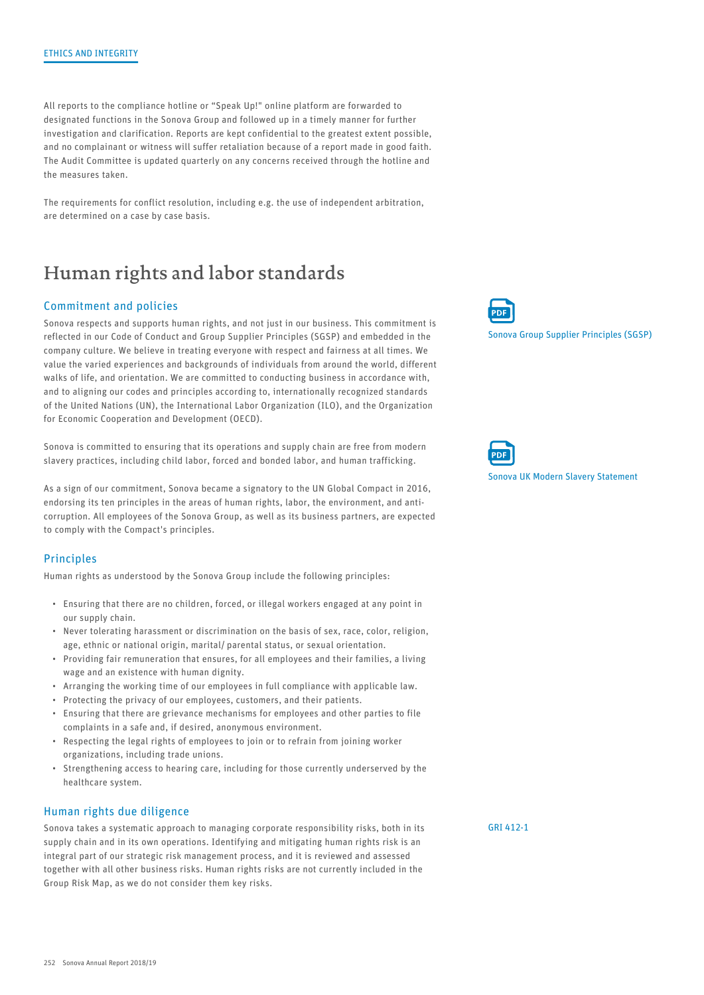All reports to the compliance hotline or "Speak Up!" online platform are forwarded to designated functions in the Sonova Group and followed up in a timely manner for further investigation and clarification. Reports are kept confidential to the greatest extent possible, and no complainant or witness will suffer retaliation because of a report made in good faith. The Audit Committee is updated quarterly on any concerns received through the hotline and the measures taken.

The requirements for conflict resolution, including e.g. the use of independent arbitration, are determined on a case by case basis.

### Human rights and labor standards

### Commitment and policies

Sonova respects and supports human rights, and not just in our business. This commitment is reflected in our Code of Conduct and Group Supplier Principles (SGSP) and embedded in the company culture. We believe in treating everyone with respect and fairness at all times. We value the varied experiences and backgrounds of individuals from around the world, different walks of life, and orientation. We are committed to conducting business in accordance with, and to aligning our codes and principles according to, internationally recognized standards of the United Nations (UN), the International Labor Organization (ILO), and the Organization for Economic Cooperation and Development (OECD).

Sonova is committed to ensuring that its operations and supply chain are free from modern slavery practices, including child labor, forced and bonded labor, and human trafficking.

As a sign of our commitment, Sonova became a signatory to the UN Global Compact in 2016, endorsing its ten principles in the areas of human rights, labor, the environment, and anticorruption. All employees of the Sonova Group, as well as its business partners, are expected to comply with the Compact's principles.

#### **Principles**

Human rights as understood by the Sonova Group include the following principles:

- Ensuring that there are no children, forced, or illegal workers engaged at any point in our supply chain.
- Never tolerating harassment or discrimination on the basis of sex, race, color, religion, age, ethnic or national origin, marital/ parental status, or sexual orientation.
- Providing fair remuneration that ensures, for all employees and their families, a living wage and an existence with human dignity.
- Arranging the working time of our employees in full compliance with applicable law.
- Protecting the privacy of our employees, customers, and their patients.
- Ensuring that there are grievance mechanisms for employees and other parties to file complaints in a safe and, if desired, anonymous environment.
- Respecting the legal rights of employees to join or to refrain from joining worker organizations, including trade unions.
- Strengthening access to hearing care, including for those currently underserved by the healthcare system.

#### Human rights due diligence

Sonova takes a systematic approach to managing corporate responsibility risks, both in its supply chain and in its own operations. Identifying and mitigating human rights risk is an integral part of our strategic risk management process, and it is reviewed and assessed together with all other business risks. Human rights risks are not currently included in the Group Risk Map, as we do not consider them key risks.



[Sonova Group Supplier Principles \(SGSP\)](https://report.sonova.com/2019/app/uploads/2014-04-Sonova-Group-Supplier-Principles.pdf)



[Sonova UK Modern Slavery Statement](https://report.sonova.com/2019/app/uploads/2018-UK-Modern-Slavery-Statement.pdf)

[GRI 412-1](#page--1-0)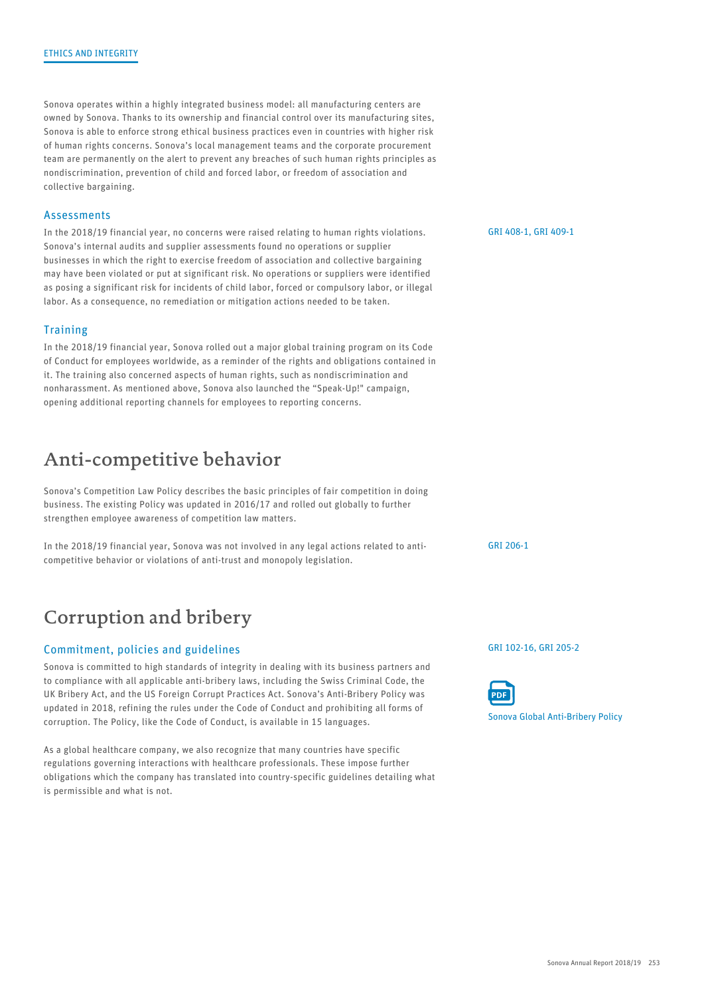Sonova operates within a highly integrated business model: all manufacturing centers are owned by Sonova. Thanks to its ownership and financial control over its manufacturing sites, Sonova is able to enforce strong ethical business practices even in countries with higher risk of human rights concerns. Sonova's local management teams and the corporate procurement team are permanently on the alert to prevent any breaches of such human rights principles as nondiscrimination, prevention of child and forced labor, or freedom of association and collective bargaining.

#### **Assessments**

In the 2018/19 financial year, no concerns were raised relating to human rights violations. Sonova's internal audits and supplier assessments found no operations or supplier businesses in which the right to exercise freedom of association and collective bargaining may have been violated or put at significant risk. No operations or suppliers were identified as posing a significant risk for incidents of child labor, forced or compulsory labor, or illegal labor. As a consequence, no remediation or mitigation actions needed to be taken.

### **Training**

In the 2018/19 financial year, Sonova rolled out a major global training program on its Code of Conduct for employees worldwide, as a reminder of the rights and obligations contained in it. The training also concerned aspects of human rights, such as nondiscrimination and nonharassment. As mentioned above, Sonova also launched the "Speak-Up!" campaign, opening additional reporting channels for employees to reporting concerns.

### Anti-competitive behavior

Sonova's Competition Law Policy describes the basic principles of fair competition in doing business. The existing Policy was updated in 2016/17 and rolled out globally to further strengthen employee awareness of competition law matters.

In the 2018/19 financial year, Sonova was not involved in any legal actions related to anticompetitive behavior or violations of anti-trust and monopoly legislation.

### Corruption and bribery

### Commitment, policies and guidelines

Sonova is committed to high standards of integrity in dealing with its business partners and to compliance with all applicable anti-bribery laws, including the Swiss Criminal Code, the UK Bribery Act, and the US Foreign Corrupt Practices Act. Sonova's Anti-Bribery Policy was updated in 2018, refining the rules under the Code of Conduct and prohibiting all forms of corruption. The Policy, like the Code of Conduct, is available in 15 languages.

As a global healthcare company, we also recognize that many countries have specific regulations governing interactions with healthcare professionals. These impose further obligations which the company has translated into country-specific guidelines detailing what is permissible and what is not.

[GRI 408-1, GRI 409-1](#page--1-0)

[GRI 206-1](#page--1-0)

[GRI 102-16, GRI 205-2](#page--1-0)



[Sonova Global Anti-Bribery Policy](https://report.sonova.com/2019/app/uploads/Global-Antibribery-Policy.pdf)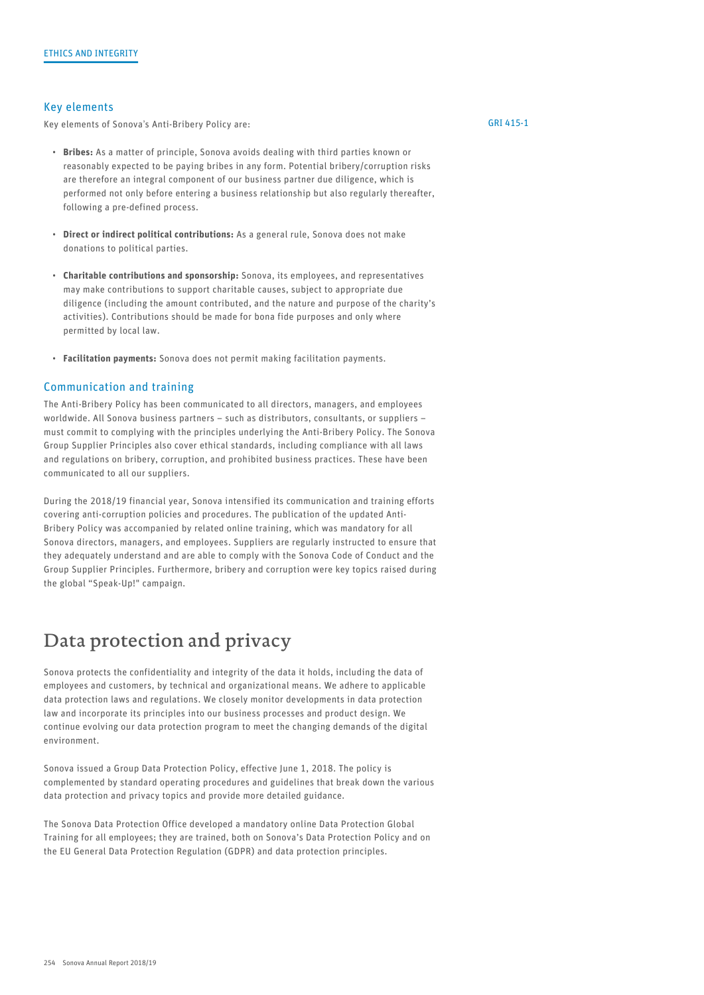### Key elements

Key elements of Sonova's Anti-Bribery Policy are:

- Bribes: As a matter of principle, Sonova avoids dealing with third parties known or reasonably expected to be paying bribes in any form. Potential bribery/corruption risks are therefore an integral component of our business partner due diligence, which is performed not only before entering a business relationship but also regularly thereafter, following a pre-defined process.
- **Direct or indirect political contributions:** As a general rule, Sonova does not make donations to political parties.
- Charitable contributions and sponsorship: Sonova, its employees, and representatives may make contributions to support charitable causes, subject to appropriate due diligence (including the amount contributed, and the nature and purpose of the charity's activities). Contributions should be made for bona fide purposes and only where permitted by local law.
- Facilitation payments: Sonova does not permit making facilitation payments.

#### Communication and training

The Anti-Bribery Policy has been communicated to all directors, managers, and employees worldwide. All Sonova business partners – such as distributors, consultants, or suppliers – must commit to complying with the principles underlying the Anti-Bribery Policy. The Sonova Group Supplier Principles also cover ethical standards, including compliance with all laws and regulations on bribery, corruption, and prohibited business practices. These have been communicated to all our suppliers.

During the 2018/19 financial year, Sonova intensified its communication and training efforts covering anti-corruption policies and procedures. The publication of the updated Anti-Bribery Policy was accompanied by related online training, which was mandatory for all Sonova directors, managers, and employees. Suppliers are regularly instructed to ensure that they adequately understand and are able to comply with the Sonova Code of Conduct and the Group Supplier Principles. Furthermore, bribery and corruption were key topics raised during the global "Speak-Up!" campaign.

### Data protection and privacy

Sonova protects the confidentiality and integrity of the data it holds, including the data of employees and customers, by technical and organizational means. We adhere to applicable data protection laws and regulations. We closely monitor developments in data protection law and incorporate its principles into our business processes and product design. We continue evolving our data protection program to meet the changing demands of the digital environment.

Sonova issued a Group Data Protection Policy, effective June 1, 2018. The policy is complemented by standard operating procedures and guidelines that break down the various data protection and privacy topics and provide more detailed guidance.

The Sonova Data Protection Office developed a mandatory online Data Protection Global Training for all employees; they are trained, both on Sonova's Data Protection Policy and on the EU General Data Protection Regulation (GDPR) and data protection principles.

### [GRI 415-1](#page--1-0)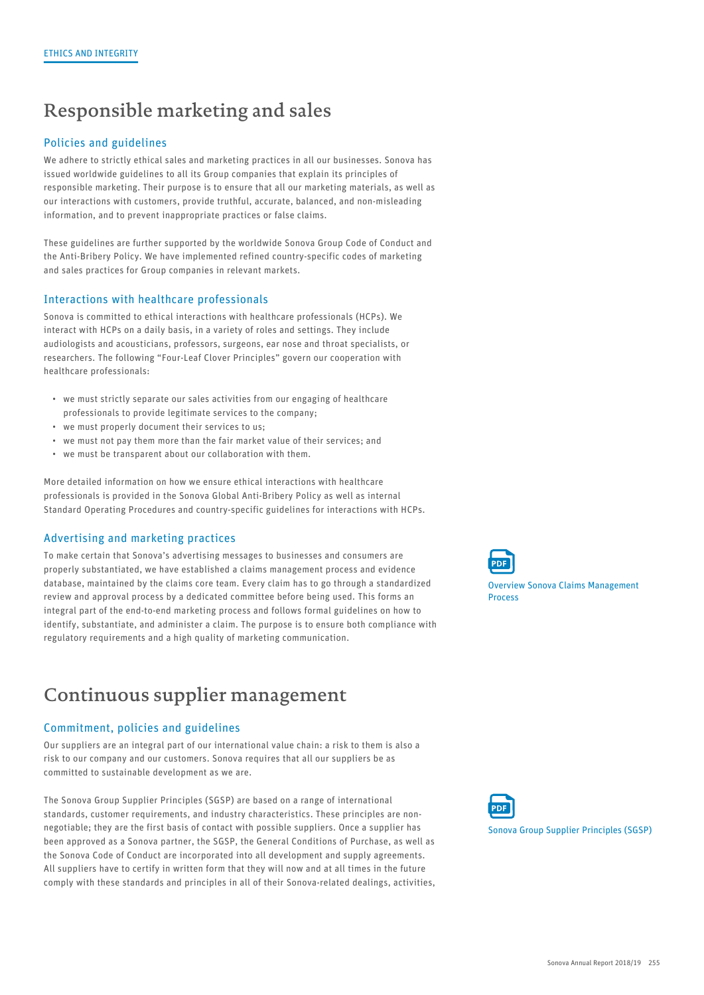## Responsible marketing and sales

### Policies and guidelines

We adhere to strictly ethical sales and marketing practices in all our businesses. Sonova has issued worldwide guidelines to all its Group companies that explain its principles of responsible marketing. Their purpose is to ensure that all our marketing materials, as well as our interactions with customers, provide truthful, accurate, balanced, and non-misleading information, and to prevent inappropriate practices or false claims.

These guidelines are further supported by the worldwide Sonova Group Code of Conduct and the Anti-Bribery Policy. We have implemented refined country-specific codes of marketing and sales practices for Group companies in relevant markets.

### Interactions with healthcare professionals

Sonova is committed to ethical interactions with healthcare professionals (HCPs). We interact with HCPs on a daily basis, in a variety of roles and settings. They include audiologists and acousticians, professors, surgeons, ear nose and throat specialists, or researchers. The following "Four-Leaf Clover Principles" govern our cooperation with healthcare professionals:

- we must strictly separate our sales activities from our engaging of healthcare professionals to provide legitimate services to the company;
- we must properly document their services to us;
- we must not pay them more than the fair market value of their services; and
- we must be transparent about our collaboration with them.

More detailed information on how we ensure ethical interactions with healthcare professionals is provided in the Sonova Global Anti-Bribery Policy as well as internal Standard Operating Procedures and country-specific guidelines for interactions with HCPs.

### Advertising and marketing practices

To make certain that Sonova's advertising messages to businesses and consumers are properly substantiated, we have established a claims management process and evidence database, maintained by the claims core team. Every claim has to go through a standardized review and approval process by a dedicated committee before being used. This forms an integral part of the end-to-end marketing process and follows formal guidelines on how to identify, substantiate, and administer a claim. The purpose is to ensure both compliance with regulatory requirements and a high quality of marketing communication.

### Continuous supplier management

### Commitment, policies and guidelines

Our suppliers are an integral part of our international value chain: a risk to them is also a risk to our company and our customers. Sonova requires that all our suppliers be as committed to sustainable development as we are.

The Sonova Group Supplier Principles (SGSP) are based on a range of international standards, customer requirements, and industry characteristics. These principles are nonnegotiable; they are the first basis of contact with possible suppliers. Once a supplier has been approved as a Sonova partner, the SGSP, the General Conditions of Purchase, as well as the Sonova Code of Conduct are incorporated into all development and supply agreements. All suppliers have to certify in written form that they will now and at all times in the future comply with these standards and principles in all of their Sonova-related dealings, activities,



[Overview Sonova Claims Management](https://report.sonova.com/2019/app/uploads/Sonova-Claims-Management.pdf) Process



[Sonova Group Supplier Principles \(SGSP\)](https://report.sonova.com/2019/app/uploads/2014-04-Sonova-Group-Supplier-Principles.pdf)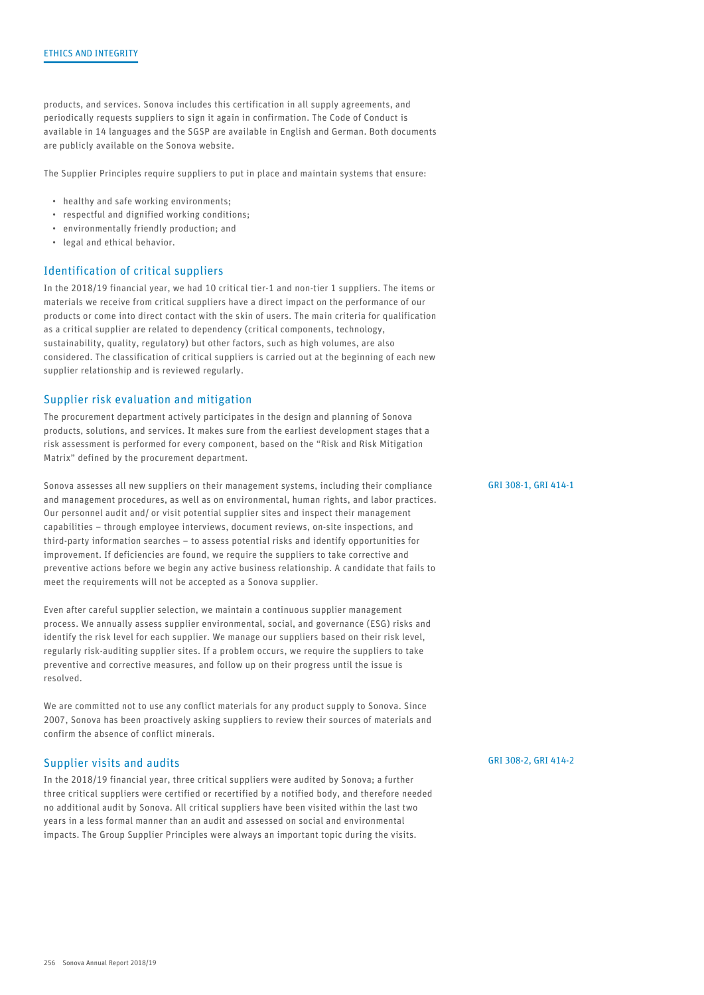products, and services. Sonova includes this certification in all supply agreements, and periodically requests suppliers to sign it again in confirmation. The Code of Conduct is available in 14 languages and the SGSP are available in English and German. Both documents are publicly available on the Sonova website.

The Supplier Principles require suppliers to put in place and maintain systems that ensure:

- healthy and safe working environments;
- respectful and dignified working conditions;
- environmentally friendly production; and
- legal and ethical behavior.

#### Identification of critical suppliers

In the 2018/19 financial year, we had 10 critical tier-1 and non-tier 1 suppliers. The items or materials we receive from critical suppliers have a direct impact on the performance of our products or come into direct contact with the skin of users. The main criteria for qualification as a critical supplier are related to dependency (critical components, technology, sustainability, quality, regulatory) but other factors, such as high volumes, are also considered. The classification of critical suppliers is carried out at the beginning of each new supplier relationship and is reviewed regularly.

#### Supplier risk evaluation and mitigation

The procurement department actively participates in the design and planning of Sonova products, solutions, and services. It makes sure from the earliest development stages that a risk assessment is performed for every component, based on the "Risk and Risk Mitigation Matrix" defined by the procurement department.

Sonova assesses all new suppliers on their management systems, including their compliance and management procedures, as well as on environmental, human rights, and labor practices. Our personnel audit and/ or visit potential supplier sites and inspect their management capabilities – through employee interviews, document reviews, on-site inspections, and third-party information searches – to assess potential risks and identify opportunities for improvement. If deficiencies are found, we require the suppliers to take corrective and preventive actions before we begin any active business relationship. A candidate that fails to meet the requirements will not be accepted as a Sonova supplier.

Even after careful supplier selection, we maintain a continuous supplier management process. We annually assess supplier environmental, social, and governance (ESG) risks and identify the risk level for each supplier. We manage our suppliers based on their risk level, regularly risk-auditing supplier sites. If a problem occurs, we require the suppliers to take preventive and corrective measures, and follow up on their progress until the issue is resolved.

We are committed not to use any conflict materials for any product supply to Sonova. Since 2007, Sonova has been proactively asking suppliers to review their sources of materials and confirm the absence of conflict minerals.

#### Supplier visits and audits

In the 2018/19 financial year, three critical suppliers were audited by Sonova; a further three critical suppliers were certified or recertified by a notified body, and therefore needed no additional audit by Sonova. All critical suppliers have been visited within the last two years in a less formal manner than an audit and assessed on social and environmental impacts. The Group Supplier Principles were always an important topic during the visits.

[GRI 308-1, GRI 414-1](#page--1-0)

[GRI 308-2, GRI 414-2](#page--1-0)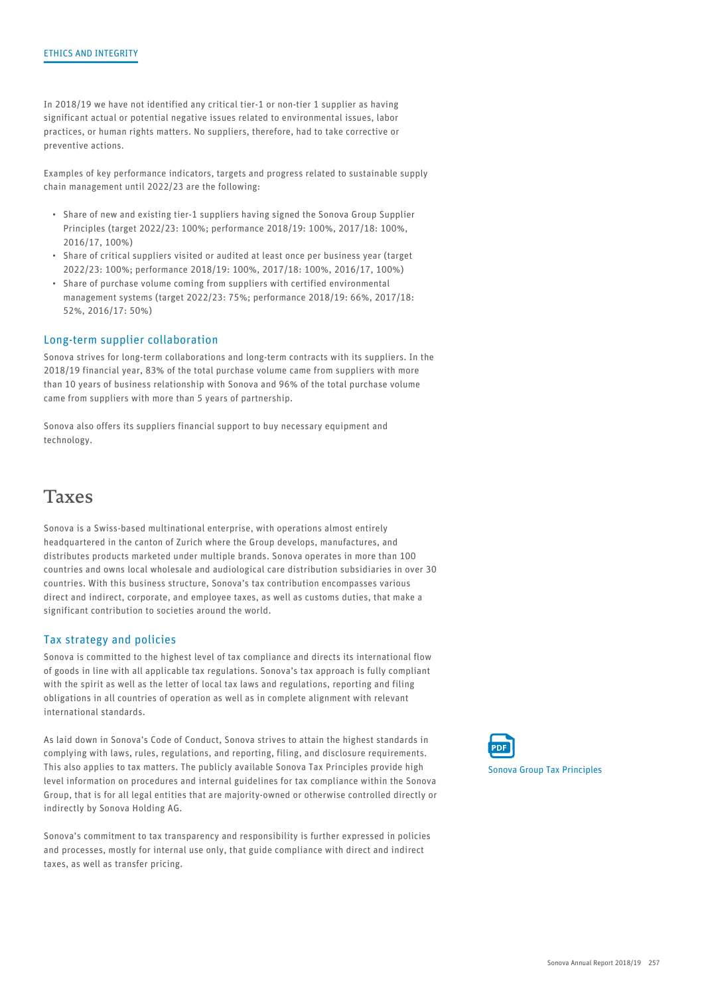In 2018/19 we have not identified any critical tier-1 or non-tier 1 supplier as having significant actual or potential negative issues related to environmental issues, labor practices, or human rights matters. No suppliers, therefore, had to take corrective or preventive actions.

Examples of key performance indicators, targets and progress related to sustainable supply chain management until 2022/23 are the following:

- Share of new and existing tier-1 suppliers having signed the Sonova Group Supplier Principles (target 2022/23: 100%; performance 2018/19: 100%, 2017/18: 100%, 2016/17, 100%)
- Share of critical suppliers visited or audited at least once per business year (target 2022/23: 100%; performance 2018/19: 100%, 2017/18: 100%, 2016/17, 100%)
- Share of purchase volume coming from suppliers with certified environmental management systems (target 2022/23: 75%; performance 2018/19: 66%, 2017/18: 52%, 2016/17: 50%)

### Long-term supplier collaboration

Sonova strives for long-term collaborations and long-term contracts with its suppliers. In the 2018/19 financial year, 83% of the total purchase volume came from suppliers with more than 10 years of business relationship with Sonova and 96% of the total purchase volume came from suppliers with more than 5 years of partnership.

Sonova also offers its suppliers financial support to buy necessary equipment and technology.

### Taxes

Sonova is a Swiss-based multinational enterprise, with operations almost entirely headquartered in the canton of Zurich where the Group develops, manufactures, and distributes products marketed under multiple brands. Sonova operates in more than 100 countries and owns local wholesale and audiological care distribution subsidiaries in over 30 countries. With this business structure, Sonova's tax contribution encompasses various direct and indirect, corporate, and employee taxes, as well as customs duties, that make a significant contribution to societies around the world.

### Tax strategy and policies

Sonova is committed to the highest level of tax compliance and directs its international flow of goods in line with all applicable tax regulations. Sonova's tax approach is fully compliant with the spirit as well as the letter of local tax laws and regulations, reporting and filing obligations in all countries of operation as well as in complete alignment with relevant international standards.

As laid down in Sonova's Code of Conduct, Sonova strives to attain the highest standards in complying with laws, rules, regulations, and reporting, filing, and disclosure requirements. This also applies to tax matters. The publicly available Sonova Tax Principles provide high level information on procedures and internal guidelines for tax compliance within the Sonova Group, that is for all legal entities that are majority-owned or otherwise controlled directly or indirectly by Sonova Holding AG.

Sonova's commitment to tax transparency and responsibility is further expressed in policies and processes, mostly for internal use only, that guide compliance with direct and indirect taxes, as well as transfer pricing.

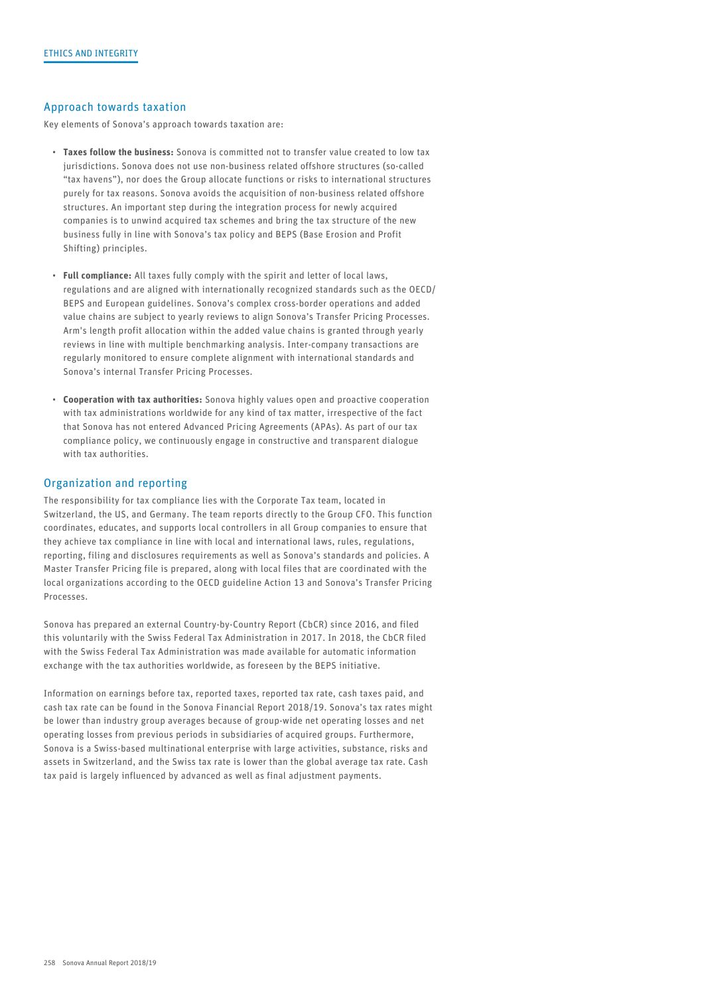### Approach towards taxation

Key elements of Sonova's approach towards taxation are:

- Taxes follow the business: Sonova is committed not to transfer value created to low tax jurisdictions. Sonova does not use non-business related offshore structures (so-called "tax havens"), nor does the Group allocate functions or risks to international structures purely for tax reasons. Sonova avoids the acquisition of non-business related offshore structures. An important step during the integration process for newly acquired companies is to unwind acquired tax schemes and bring the tax structure of the new business fully in line with Sonova's tax policy and BEPS (Base Erosion and Profit Shifting) principles.
- Full compliance: All taxes fully comply with the spirit and letter of local laws, regulations and are aligned with internationally recognized standards such as the OECD/ BEPS and European guidelines. Sonova's complex cross-border operations and added value chains are subject to yearly reviews to align Sonova's Transfer Pricing Processes. Arm's length profit allocation within the added value chains is granted through yearly reviews in line with multiple benchmarking analysis. Inter-company transactions are regularly monitored to ensure complete alignment with international standards and Sonova's internal Transfer Pricing Processes.
- Cooperation with tax authorities: Sonova highly values open and proactive cooperation with tax administrations worldwide for any kind of tax matter, irrespective of the fact that Sonova has not entered Advanced Pricing Agreements (APAs). As part of our tax compliance policy, we continuously engage in constructive and transparent dialogue with tax authorities.

### Organization and reporting

The responsibility for tax compliance lies with the Corporate Tax team, located in Switzerland, the US, and Germany. The team reports directly to the Group CFO. This function coordinates, educates, and supports local controllers in all Group companies to ensure that they achieve tax compliance in line with local and international laws, rules, regulations, reporting, filing and disclosures requirements as well as Sonova's standards and policies. A Master Transfer Pricing file is prepared, along with local files that are coordinated with the local organizations according to the OECD guideline Action 13 and Sonova's Transfer Pricing Processes.

Sonova has prepared an external Country-by-Country Report (CbCR) since 2016, and filed this voluntarily with the Swiss Federal Tax Administration in 2017. In 2018, the CbCR filed with the Swiss Federal Tax Administration was made available for automatic information exchange with the tax authorities worldwide, as foreseen by the BEPS initiative.

Information on earnings before tax, reported taxes, reported tax rate, cash taxes paid, and cash tax rate can be found in the Sonova Financial Report 2018/19. Sonova's tax rates might be lower than industry group averages because of group-wide net operating losses and net operating losses from previous periods in subsidiaries of acquired groups. Furthermore, Sonova is a Swiss-based multinational enterprise with large activities, substance, risks and assets in Switzerland, and the Swiss tax rate is lower than the global average tax rate. Cash tax paid is largely influenced by advanced as well as final adjustment payments.